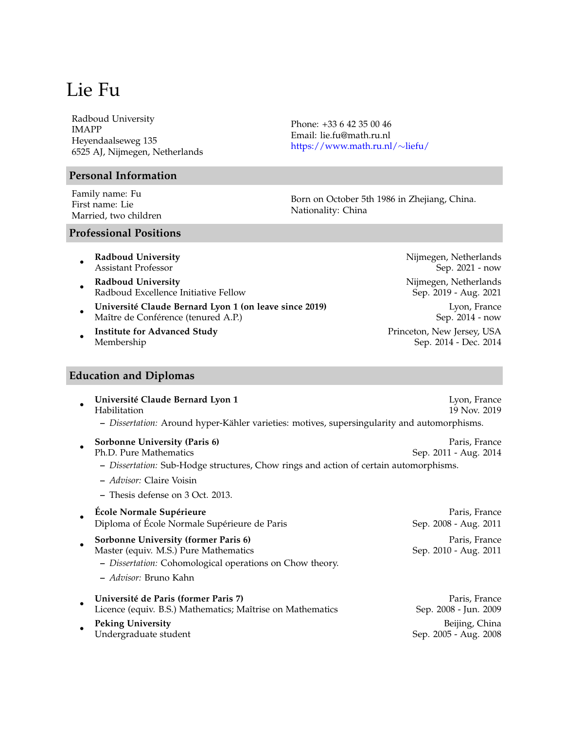Radboud University IMAPP Heyendaalseweg 135 6525 AJ, Nijmegen, Netherlands

# **Personal Information**

Family name: Fu First name: Lie Married, two children Phone: +33 6 42 35 00 46 Email: lie.fu@math.ru.nl [https://www.math.ru.nl/](https://www.math.ru.nl/~liefu/)∼liefu/

Born on October 5th 1986 in Zhejiang, China. Nationality: China

# **Professional Positions**

- **Radboud University Radboud University Nijmegen**, Netherlands Assistant Professor Sep. 2021 - now
- **Radboud University Nigman Constanting Constanting Constanting Constanting Constanting Constanting Constanting Constanting Constanting Constanting Constanting Constanting Constanting Constanting Constanting Constanting C** Radboud Excellence Initiative Fellow Sep. 2019 - Aug. 2021
- **Université Claude Bernard Lyon 1 (on leave since 2019)** Lyon, France Maître de Conférence (tenured A.P.) Sep. 2014 - now
- **Institute for Advanced Study** Princeton, New Jersey, USA Membership Sep. 2014 - Dec. 2014

# **Education and Diplomas**

| Université Claude Bernard Lyon 1<br>Habilitation<br>- Dissertation: Around hyper-Kähler varieties: motives, supersingularity and automorphisms.                    | Lyon, France<br>19 Nov. 2019            |
|--------------------------------------------------------------------------------------------------------------------------------------------------------------------|-----------------------------------------|
| Sorbonne University (Paris 6)<br>Ph.D. Pure Mathematics<br>- Dissertation: Sub-Hodge structures, Chow rings and action of certain automorphisms.                   | Paris, France<br>Sep. 2011 - Aug. 2014  |
| - <i>Advisor:</i> Claire Voisin                                                                                                                                    |                                         |
| - Thesis defense on 3 Oct. 2013.                                                                                                                                   |                                         |
| École Normale Supérieure<br>Diploma of École Normale Supérieure de Paris                                                                                           | Paris, France<br>Sep. 2008 - Aug. 2011  |
| Sorbonne University (former Paris 6)<br>Master (equiv. M.S.) Pure Mathematics<br>- Dissertation: Cohomological operations on Chow theory.<br>- Advisor: Bruno Kahn | Paris, France<br>Sep. 2010 - Aug. 2011  |
| Université de Paris (former Paris 7)<br>Licence (equiv. B.S.) Mathematics; Maîtrise on Mathematics                                                                 | Paris, France<br>Sep. 2008 - Jun. 2009  |
| <b>Peking University</b><br>Undergraduate student                                                                                                                  | Beijing, China<br>Sep. 2005 - Aug. 2008 |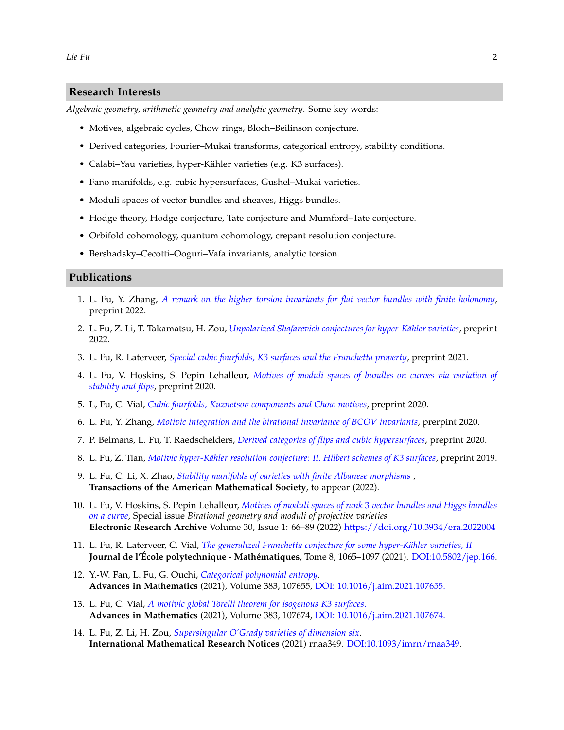#### **Research Interests**

*Algebraic geometry, arithmetic geometry and analytic geometry*. Some key words:

- Motives, algebraic cycles, Chow rings, Bloch–Beilinson conjecture.
- Derived categories, Fourier–Mukai transforms, categorical entropy, stability conditions.
- Calabi–Yau varieties, hyper-Kähler varieties (e.g. K3 surfaces).
- Fano manifolds, e.g. cubic hypersurfaces, Gushel–Mukai varieties.
- Moduli spaces of vector bundles and sheaves, Higgs bundles.
- Hodge theory, Hodge conjecture, Tate conjecture and Mumford–Tate conjecture.
- Orbifold cohomology, quantum cohomology, crepant resolution conjecture.
- Bershadsky–Cecotti–Ooguri–Vafa invariants, analytic torsion.

#### **Publications**

- 1. L. Fu, Y. Zhang, *[A remark on the higher torsion invariants for flat vector bundles with finite holonomy](https://arxiv.org/abs/2203.02353)*, preprint 2022.
- 2. L. Fu, Z. Li, T. Takamatsu, H. Zou, *[Unpolarized Shafarevich conjectures for hyper-Kähler varieties](https://arxiv.org/abs/2201.03350)*, preprint 2022.
- 3. L. Fu, R. Laterveer, *[Special cubic fourfolds, K3 surfaces and the Franchetta property](https://arxiv.org/abs/2112.02437)*, preprint 2021.
- 4. L. Fu, V. Hoskins, S. Pepin Lehalleur, *[Motives of moduli spaces of bundles on curves via variation of](https://arxiv.org/abs/2011.14872) [stability and flips](https://arxiv.org/abs/2011.14872)*, preprint 2020.
- 5. L, Fu, C. Vial, *[Cubic fourfolds, Kuznetsov components and Chow motives](https://arxiv.org/abs/2009.13173)*, preprint 2020.
- 6. L. Fu, Y. Zhang, *[Motivic integration and the birational invariance of BCOV invariants](https://arxiv.org/abs/2007.04835)*, prerpint 2020.
- 7. P. Belmans, L. Fu, T. Raedschelders, *[Derived categories of flips and cubic hypersurfaces](https://arxiv.org/abs/2002.04940)*, preprint 2020.
- 8. L. Fu, Z. Tian, *[Motivic hyper-Kähler resolution conjecture: II. Hilbert schemes of K3 surfaces](https://www.math.ru.nl/~liefu/articles/MotivicCrepantHilbK3.pdf)*, preprint 2019.
- 9. L. Fu, C. Li, X. Zhao, *[Stability manifolds of varieties with finite Albanese morphisms](https://arxiv.org/abs/2103.07728)* , **Transactions of the American Mathematical Society**, to appear (2022).
- 10. L. Fu, V. Hoskins, S. Pepin Lehalleur, *Motives of moduli spaces of rank* 3 *[vector bundles and Higgs bundles](https://doi.org/10.3934/era.2022004) [on a curve](https://doi.org/10.3934/era.2022004)*, Special issue *Birational geometry and moduli of projective varieties* **Electronic Research Archive** Volume 30, Issue 1: 66–89 (2022) <https://doi.org/10.3934/era.2022004>
- 11. L. Fu, R. Laterveer, C. Vial, *[The generalized Franchetta conjecture for some hyper-Kähler varieties, II](https://jep.centre-mersenne.org/articles/10.5802/jep.166/)* **Journal de l'École polytechnique - Mathématiques**, Tome 8, 1065–1097 (2021). [DOI:10.5802/jep.166.](https://doi.org/10.5802/jep.166)
- 12. Y.-W. Fan, L. Fu, G. Ouchi, *[Categorical polynomial entropy](https://doi.org/10.1016/j.aim.2021.107655)*. **Advances in Mathematics** (2021), Volume 383, 107655, [DOI: 10.1016/j.aim.2021.107655.](https://doi.org/10.1016/j.aim.2021.107655)
- 13. L. Fu, C. Vial, *[A motivic global Torelli theorem for isogenous K3 surfaces](https://www.sciencedirect.com/science/article/pii/S0001870821001122)*. **Advances in Mathematics** (2021), Volume 383, 107674, [DOI: 10.1016/j.aim.2021.107674.](https://doi.org/10.1016/j.aim.2021.107674)
- 14. L. Fu, Z. Li, H. Zou, *[Supersingular O'Grady varieties of dimension six](https://doi.org/10.1093/imrn/rnaa349)*. **International Mathematical Research Notices** (2021) rnaa349. [DOI:10.1093/imrn/rnaa349.](https://doi.org/10.1093/imrn/rnaa349)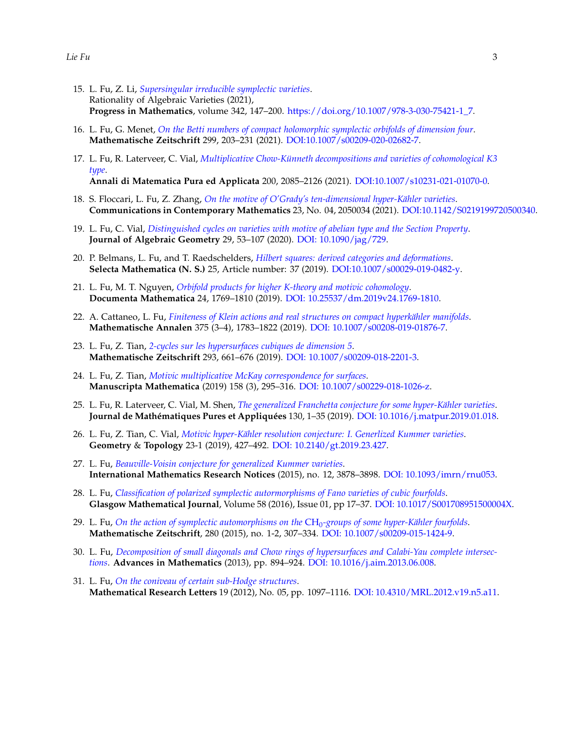- 15. L. Fu, Z. Li, *[Supersingular irreducible symplectic varieties](https://doi.org/10.1007/978-3-030-75421-1_7)*. Rationality of Algebraic Varieties (2021), **Progress in Mathematics**, volume 342, 147–200. [https://doi.org/10.1007/978-3-030-75421-1\\_7.](https://doi.org/10.1007/978-3-030-75421-1_7)
- 16. L. Fu, G. Menet, *[On the Betti numbers of compact holomorphic symplectic orbifolds of dimension four](https://doi.org/10.1007/s00209-020-02682-7)*. **Mathematische Zeitschrift** 299, 203–231 (2021). [DOI:10.1007/s00209-020-02682-7.](https://doi.org/10.1007/s00209-020-02682-7)
- 17. L. Fu, R. Laterveer, C. Vial, *[Multiplicative Chow-Künneth decompositions and varieties of cohomological K3](https://doi.org/10.1007/s10231-021-01070-0) [type](https://doi.org/10.1007/s10231-021-01070-0)*. **Annali di Matematica Pura ed Applicata** 200, 2085–2126 (2021). [DOI:10.1007/s10231-021-01070-0.](https://doi.org/10.1007/s10231-021-01070-0)
- 18. S. Floccari, L. Fu, Z. Zhang, *[On the motive of O'Grady's ten-dimensional hyper-Kähler varieties](https://doi.org/10.1142/S0219199720500340)*. **Communications in Contemporary Mathematics** 23, No. 04, 2050034 (2021). [DOI:10.1142/S0219199720500340.](https://doi.org/10.1142/S0219199720500340)
- 19. L. Fu, C. Vial, *[Distinguished cycles on varieties with motive of abelian type and the Section Property](https://doi.org/10.1090/jag/729)*. **Journal of Algebraic Geometry** 29, 53–107 (2020). [DOI: 10.1090/jag/729.](https://doi.org/10.1090/jag/729)
- 20. P. Belmans, L. Fu, and T. Raedschelders, *[Hilbert squares: derived categories and deformations](https://link.springer.com/article/10.1007/s00029-019-0482-y)*. **Selecta Mathematica (N. S.)** 25, Article number: 37 (2019). [DOI:10.1007/s00029-019-0482-y.](https://doi.org/10.1007/s00029-019-0482-y)
- 21. L. Fu, M. T. Nguyen, *[Orbifold products for higher K-theory and motivic cohomology](https://www.elibm.org/article/10011985)*. **Documenta Mathematica** 24, 1769–1810 (2019). [DOI: 10.25537/dm.2019v24.1769-1810.](https://www.elibm.org/article/10011985)
- 22. A. Cattaneo, L. Fu, *[Finiteness of Klein actions and real structures on compact hyperkähler manifolds](https://link.springer.com/article/10.1007/s00208-019-01876-7)*. **Mathematische Annalen** 375 (3–4), 1783–1822 (2019). [DOI: 10.1007/s00208-019-01876-7.](https://doi.org/10.1007/s00208-019-01876-7)
- 23. L. Fu, Z. Tian, *[2-cycles sur les hypersurfaces cubiques de dimension 5](https://doi.org/10.1007/s00209-018-2201-3)*. **Mathematische Zeitschrift** 293, 661–676 (2019). [DOI: 10.1007/s00209-018-2201-3.](https://doi.org/10.1007/s00209-018-2201-3)
- 24. L. Fu, Z. Tian, *[Motivic multiplicative McKay correspondence for surfaces](https://doi.org/10.1007/s00229-018-1026-z)*. **Manuscripta Mathematica** (2019) 158 (3), 295–316. [DOI: 10.1007/s00229-018-1026-z.](https://doi.org/10.1007/s00229-018-1026-z)
- 25. L. Fu, R. Laterveer, C. Vial, M. Shen, *[The generalized Franchetta conjecture for some hyper-Kähler varieties](https://doi.org/10.1016/j.matpur.2019.01.018)*. **Journal de Mathématiques Pures et Appliquées** 130, 1–35 (2019). [DOI: 10.1016/j.matpur.2019.01.018.](https://doi.org/10.1016/j.matpur.2019.01.018)
- 26. L. Fu, Z. Tian, C. Vial, *[Motivic hyper-Kähler resolution conjecture: I. Generlized Kummer varieties](https://doi.org/10.2140/gt.2019.23.427)*. **Geometry** & **Topology** 23-1 (2019), 427–492. [DOI: 10.2140/gt.2019.23.427.](https://doi.org/10.2140/gt.2019.23.427)
- 27. L. Fu, *[Beauville-Voisin conjecture for generalized Kummer varieties](https://doi.org/10.1093/imrn/rnu053)*. **International Mathematics Research Notices** (2015), no. 12, 3878–3898. [DOI: 10.1093/imrn/rnu053.](https://doi.org/10.1093/imrn/rnu053)
- 28. L. Fu, *[Classification of polarized symplectic autormorphisms of Fano varieties of cubic fourfolds](https://www.cambridge.org/core/journals/glasgow-mathematical-journal/article/classification-of-polarized-symplectic-automorphisms-of-fano-varieties-of-cubic-fourfolds/47169E3F2EAA6E0940BAD3058D8AEDAD)*. **Glasgow Mathematical Journal**, Volume 58 (2016), Issue 01, pp 17–37. [DOI: 10.1017/S001708951500004X.]( https://doi.org/10.1017/S001708951500004X)
- 29. L. Fu, *[On the action of symplectic automorphisms on the](https://doi.org/10.1007/s00209-015-1424-9)* CH0*-groups of some hyper-Kähler fourfolds*. **Mathematische Zeitschrift**, 280 (2015), no. 1-2, 307–334. [DOI: 10.1007/s00209-015-1424-9.](https://doi.org/10.1007/s00209-015-1424-9)
- 30. L. Fu, *[Decomposition of small diagonals and Chow rings of hypersurfaces and Calabi-Yau complete intersec](http://www.sciencedirect.com/science/article/pii/S0001870813002168)[tions](http://www.sciencedirect.com/science/article/pii/S0001870813002168)*. **Advances in Mathematics** (2013), pp. 894–924. [DOI: 10.1016/j.aim.2013.06.008.](https://doi.org/10.1016/j.aim.2013.06.008)
- 31. L. Fu, *[On the coniveau of certain sub-Hodge structures](http://dx.doi.org/10.4310/MRL.2012.v19.n5.a11)*. **Mathematical Research Letters** 19 (2012), No. 05, pp. 1097–1116. [DOI: 10.4310/MRL.2012.v19.n5.a11.](http://dx.doi.org/10.4310/MRL.2012.v19.n5.a11)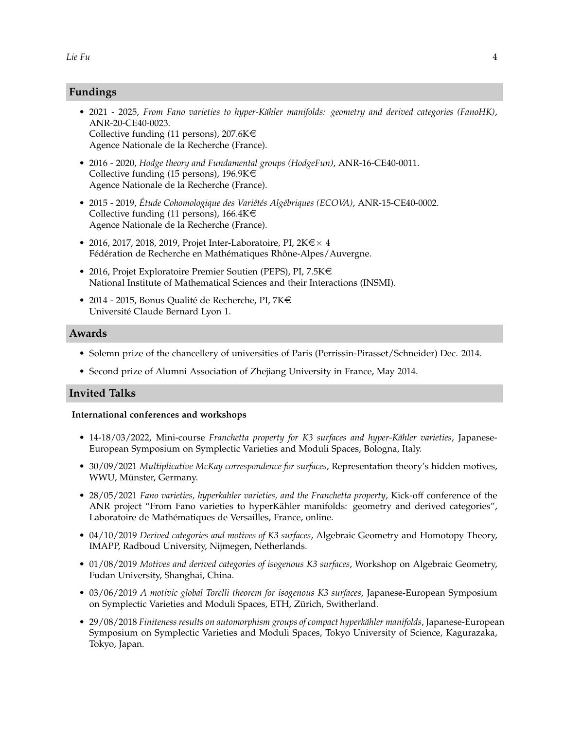# **Fundings**

- 2021 2025, *From Fano varieties to hyper-Kähler manifolds: geometry and derived categories (FanoHK)*, ANR-20-CE40-0023. Collective funding (11 persons),  $207.6K \in$ Agence Nationale de la Recherche (France).
- 2016 2020, *Hodge theory and Fundamental groups (HodgeFun)*, ANR-16-CE40-0011. Collective funding (15 persons), 196.9K $\in$ Agence Nationale de la Recherche (France).
- 2015 2019, *Étude Cohomologique des Variétés Algébriques (ECOVA)*, ANR-15-CE40-0002. Collective funding (11 persons),  $166.4K \in$ Agence Nationale de la Recherche (France).
- 2016, 2017, 2018, 2019, Projet Inter-Laboratoire, PI,  $2K \in \times 4$ Fédération de Recherche en Mathématiques Rhône-Alpes/Auvergne.
- 2016, Projet Exploratoire Premier Soutien (PEPS), PI, 7.5K $\in$ National Institute of Mathematical Sciences and their Interactions (INSMI).
- 2014 2015, Bonus Qualité de Recherche, PI,  $7K \in$ Université Claude Bernard Lyon 1.

#### **Awards**

- Solemn prize of the chancellery of universities of Paris (Perrissin-Pirasset/Schneider) Dec. 2014.
- Second prize of Alumni Association of Zhejiang University in France, May 2014.

#### **Invited Talks**

#### **International conferences and workshops**

- 14-18/03/2022, Mini-course *Franchetta property for K3 surfaces and hyper-Kähler varieties*, Japanese-European Symposium on Symplectic Varieties and Moduli Spaces, Bologna, Italy.
- 30/09/2021 *Multiplicative McKay correspondence for surfaces*, Representation theory's hidden motives, WWU, Münster, Germany.
- 28/05/2021 *Fano varieties, hyperkahler varieties, and the Franchetta property*, Kick-off conference of the ANR project "From Fano varieties to hyperKähler manifolds: geometry and derived categories", Laboratoire de Mathématiques de Versailles, France, online.
- 04/10/2019 *Derived categories and motives of K3 surfaces*, Algebraic Geometry and Homotopy Theory, IMAPP, Radboud University, Nijmegen, Netherlands.
- 01/08/2019 *Motives and derived categories of isogenous K3 surfaces*, Workshop on Algebraic Geometry, Fudan University, Shanghai, China.
- 03/06/2019 *A motivic global Torelli theorem for isogenous K3 surfaces*, Japanese-European Symposium on Symplectic Varieties and Moduli Spaces, ETH, Zürich, Switherland.
- 29/08/2018 *Finiteness results on automorphism groups of compact hyperkähler manifolds*, Japanese-European Symposium on Symplectic Varieties and Moduli Spaces, Tokyo University of Science, Kagurazaka, Tokyo, Japan.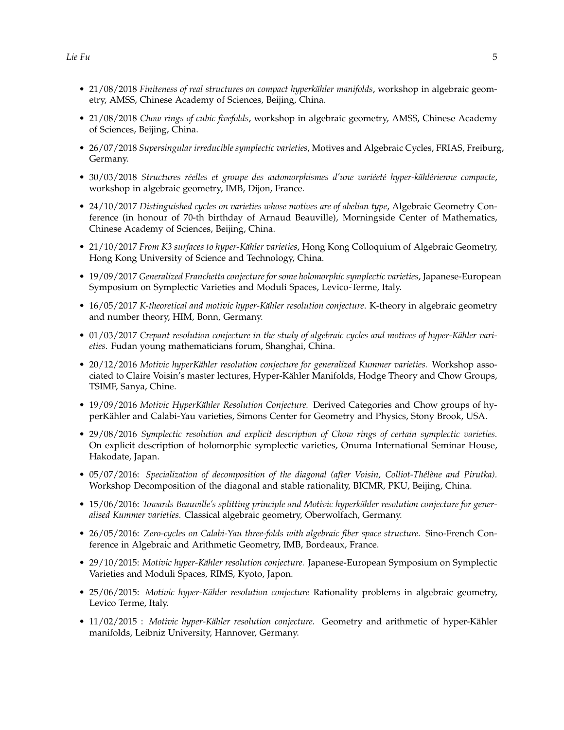- 21/08/2018 *Finiteness of real structures on compact hyperkähler manifolds*, workshop in algebraic geometry, AMSS, Chinese Academy of Sciences, Beijing, China.
- 21/08/2018 *Chow rings of cubic fivefolds*, workshop in algebraic geometry, AMSS, Chinese Academy of Sciences, Beijing, China.
- 26/07/2018 *Supersingular irreducible symplectic varieties*, Motives and Algebraic Cycles, FRIAS, Freiburg, Germany.
- 30/03/2018 *Structures réelles et groupe des automorphismes d'une variéeté hyper-kählérienne compacte*, workshop in algebraic geometry, IMB, Dijon, France.
- 24/10/2017 *Distinguished cycles on varieties whose motives are of abelian type*, Algebraic Geometry Conference (in honour of 70-th birthday of Arnaud Beauville), Morningside Center of Mathematics, Chinese Academy of Sciences, Beijing, China.
- 21/10/2017 *From K3 surfaces to hyper-Kähler varieties*, Hong Kong Colloquium of Algebraic Geometry, Hong Kong University of Science and Technology, China.
- 19/09/2017 *Generalized Franchetta conjecture for some holomorphic symplectic varieties*, Japanese-European Symposium on Symplectic Varieties and Moduli Spaces, Levico-Terme, Italy.
- 16/05/2017 *K-theoretical and motivic hyper-Kähler resolution conjecture*. K-theory in algebraic geometry and number theory, HIM, Bonn, Germany.
- 01/03/2017 *Crepant resolution conjecture in the study of algebraic cycles and motives of hyper-Kähler varieties.* Fudan young mathematicians forum, Shanghai, China.
- 20/12/2016 *Motivic hyperKähler resolution conjecture for generalized Kummer varieties.* Workshop associated to Claire Voisin's master lectures, Hyper-Kähler Manifolds, Hodge Theory and Chow Groups, TSIMF, Sanya, Chine.
- 19/09/2016 *Motivic HyperKähler Resolution Conjecture.* Derived Categories and Chow groups of hyperKähler and Calabi-Yau varieties, Simons Center for Geometry and Physics, Stony Brook, USA.
- 29/08/2016 *Symplectic resolution and explicit description of Chow rings of certain symplectic varieties.* On explicit description of holomorphic symplectic varieties, Onuma International Seminar House, Hakodate, Japan.
- 05/07/2016: *Specialization of decomposition of the diagonal (after Voisin, Colliot-Thélène and Pirutka).* Workshop Decomposition of the diagonal and stable rationality, BICMR, PKU, Beijing, China.
- 15/06/2016: *Towards Beauville's splitting principle and Motivic hyperkähler resolution conjecture for generalised Kummer varieties.* Classical algebraic geometry, Oberwolfach, Germany.
- 26/05/2016: *Zero-cycles on Calabi-Yau three-folds with algebraic fiber space structure.* Sino-French Conference in Algebraic and Arithmetic Geometry, IMB, Bordeaux, France.
- 29/10/2015: *Motivic hyper-Kähler resolution conjecture.* Japanese-European Symposium on Symplectic Varieties and Moduli Spaces, RIMS, Kyoto, Japon.
- 25/06/2015: *Motivic hyper-Kähler resolution conjecture* Rationality problems in algebraic geometry, Levico Terme, Italy.
- 11/02/2015 : *Motivic hyper-Kähler resolution conjecture.* Geometry and arithmetic of hyper-Kähler manifolds, Leibniz University, Hannover, Germany.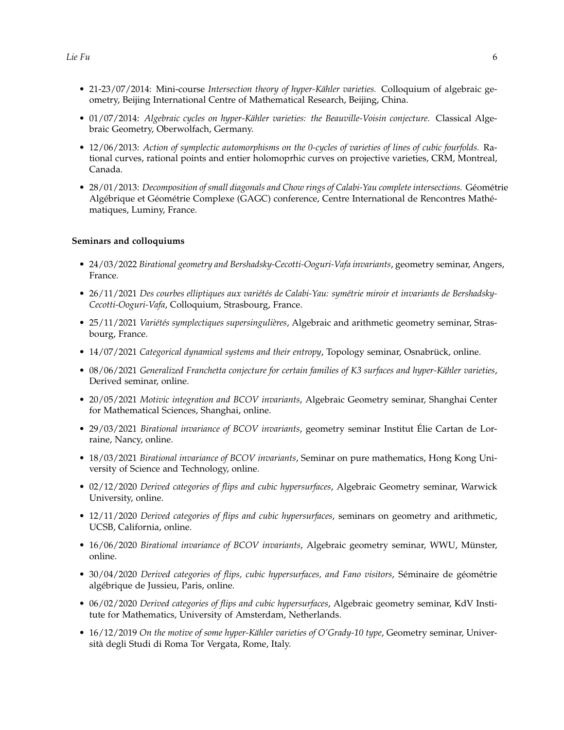- 21-23/07/2014: Mini-course *Intersection theory of hyper-Kähler varieties.* Colloquium of algebraic geometry, Beijing International Centre of Mathematical Research, Beijing, China.
- 01/07/2014: *Algebraic cycles on hyper-Kähler varieties: the Beauville-Voisin conjecture.* Classical Algebraic Geometry, Oberwolfach, Germany.
- 12/06/2013: *Action of symplectic automorphisms on the 0-cycles of varieties of lines of cubic fourfolds.* Rational curves, rational points and entier holomoprhic curves on projective varieties, CRM, Montreal, Canada.
- 28/01/2013: *Decomposition of small diagonals and Chow rings of Calabi-Yau complete intersections.* Géométrie Algébrique et Géométrie Complexe (GAGC) conference, Centre International de Rencontres Mathématiques, Luminy, France.

#### **Seminars and colloquiums**

- 24/03/2022 *Birational geometry and Bershadsky-Cecotti-Ooguri-Vafa invariants*, geometry seminar, Angers, France.
- 26/11/2021 *Des courbes elliptiques aux variétés de Calabi-Yau: symétrie miroir et invariants de Bershadsky-Cecotti-Ooguri-Vafa*, Colloquium, Strasbourg, France.
- 25/11/2021 *Variétés symplectiques supersingulières*, Algebraic and arithmetic geometry seminar, Strasbourg, France.
- 14/07/2021 *Categorical dynamical systems and their entropy*, Topology seminar, Osnabrück, online.
- 08/06/2021 *Generalized Franchetta conjecture for certain families of K3 surfaces and hyper-Kähler varieties*, Derived seminar, online.
- 20/05/2021 *Motivic integration and BCOV invariants*, Algebraic Geometry seminar, Shanghai Center for Mathematical Sciences, Shanghai, online.
- 29/03/2021 *Birational invariance of BCOV invariants*, geometry seminar Institut Élie Cartan de Lorraine, Nancy, online.
- 18/03/2021 *Birational invariance of BCOV invariants*, Seminar on pure mathematics, Hong Kong University of Science and Technology, online.
- 02/12/2020 *Derived categories of flips and cubic hypersurfaces*, Algebraic Geometry seminar, Warwick University, online.
- 12/11/2020 *Derived categories of flips and cubic hypersurfaces*, seminars on geometry and arithmetic, UCSB, California, online.
- 16/06/2020 *Birational invariance of BCOV invariants*, Algebraic geometry seminar, WWU, Münster, online.
- 30/04/2020 *Derived categories of flips, cubic hypersurfaces, and Fano visitors*, Séminaire de géométrie algébrique de Jussieu, Paris, online.
- 06/02/2020 *Derived categories of flips and cubic hypersurfaces*, Algebraic geometry seminar, KdV Institute for Mathematics, University of Amsterdam, Netherlands.
- 16/12/2019 *On the motive of some hyper-Kähler varieties of O'Grady-10 type*, Geometry seminar, Università degli Studi di Roma Tor Vergata, Rome, Italy.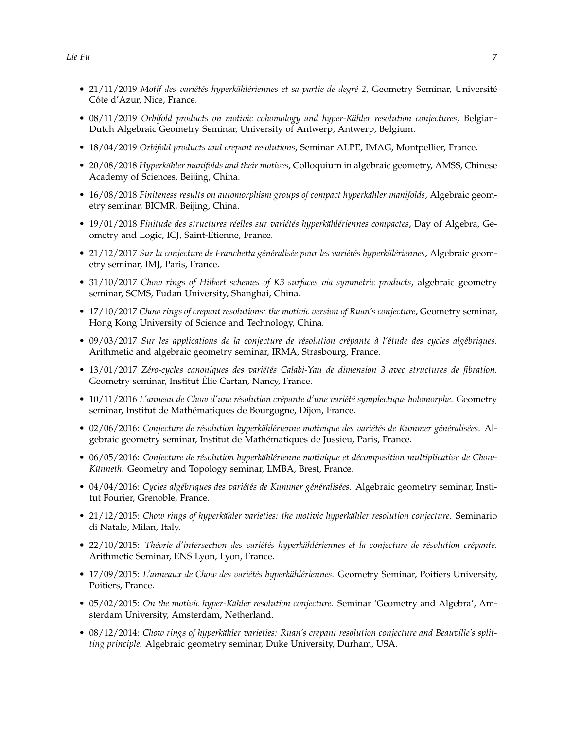- 21/11/2019 *Motif des variétés hyperkählériennes et sa partie de degré 2*, Geometry Seminar, Université Côte d'Azur, Nice, France.
- 08/11/2019 *Orbifold products on motivic cohomology and hyper-Kähler resolution conjectures*, Belgian-Dutch Algebraic Geometry Seminar, University of Antwerp, Antwerp, Belgium.
- 18/04/2019 *Orbifold products and crepant resolutions*, Seminar ALPE, IMAG, Montpellier, France.
- 20/08/2018 *Hyperkähler manifolds and their motives*, Colloquium in algebraic geometry, AMSS, Chinese Academy of Sciences, Beijing, China.
- 16/08/2018 *Finiteness results on automorphism groups of compact hyperkähler manifolds*, Algebraic geometry seminar, BICMR, Beijing, China.
- 19/01/2018 *Finitude des structures réelles sur variétés hyperkählériennes compactes*, Day of Algebra, Geometry and Logic, ICJ, Saint-Étienne, France.
- 21/12/2017 *Sur la conjecture de Franchetta généralisée pour les variétés hyperkälériennes*, Algebraic geometry seminar, IMJ, Paris, France.
- 31/10/2017 *Chow rings of Hilbert schemes of K3 surfaces via symmetric products*, algebraic geometry seminar, SCMS, Fudan University, Shanghai, China.
- 17/10/2017 *Chow rings of crepant resolutions: the motivic version of Ruan's conjecture*, Geometry seminar, Hong Kong University of Science and Technology, China.
- 09/03/2017 *Sur les applications de la conjecture de résolution crépante à l'étude des cycles algébriques.* Arithmetic and algebraic geometry seminar, IRMA, Strasbourg, France.
- 13/01/2017 *Zéro-cycles canoniques des variétés Calabi-Yau de dimension 3 avec structures de fibration.* Geometry seminar, Institut Élie Cartan, Nancy, France.
- 10/11/2016 *L'anneau de Chow d'une résolution crépante d'une variété symplectique holomorphe.* Geometry seminar, Institut de Mathématiques de Bourgogne, Dijon, France.
- 02/06/2016: *Conjecture de résolution hyperkählérienne motivique des variétés de Kummer généralisées.* Algebraic geometry seminar, Institut de Mathématiques de Jussieu, Paris, France.
- 06/05/2016: *Conjecture de résolution hyperkählérienne motivique et décomposition multiplicative de Chow-Künneth.* Geometry and Topology seminar, LMBA, Brest, France.
- 04/04/2016: *Cycles algébriques des variétés de Kummer généralisées.* Algebraic geometry seminar, Institut Fourier, Grenoble, France.
- 21/12/2015: *Chow rings of hyperkähler varieties: the motivic hyperkähler resolution conjecture.* Seminario di Natale, Milan, Italy.
- 22/10/2015: *Théorie d'intersection des variétés hyperkählériennes et la conjecture de résolution crépante.* Arithmetic Seminar, ENS Lyon, Lyon, France.
- 17/09/2015: *L'anneaux de Chow des variétés hyperkählériennes.* Geometry Seminar, Poitiers University, Poitiers, France.
- 05/02/2015: *On the motivic hyper-Kähler resolution conjecture.* Seminar 'Geometry and Algebra', Amsterdam University, Amsterdam, Netherland.
- 08/12/2014: *Chow rings of hyperkähler varieties: Ruan's crepant resolution conjecture and Beauville's splitting principle.* Algebraic geometry seminar, Duke University, Durham, USA.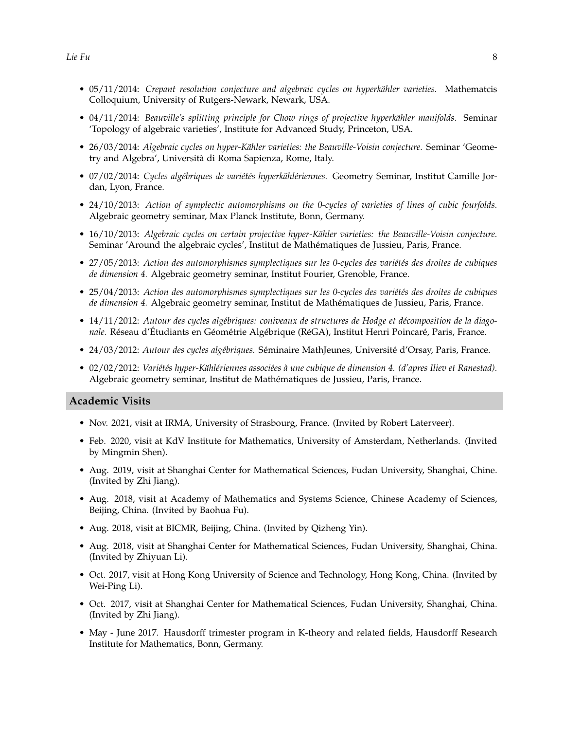- 05/11/2014: *Crepant resolution conjecture and algebraic cycles on hyperkähler varieties.* Mathematcis Colloquium, University of Rutgers-Newark, Newark, USA.
- 04/11/2014: *Beauville's splitting principle for Chow rings of projective hyperkähler manifolds.* Seminar 'Topology of algebraic varieties', Institute for Advanced Study, Princeton, USA.
- 26/03/2014: *Algebraic cycles on hyper-Kähler varieties: the Beauville-Voisin conjecture.* Seminar 'Geometry and Algebra', Università di Roma Sapienza, Rome, Italy.
- 07/02/2014: *Cycles algébriques de variétés hyperkählériennes.* Geometry Seminar, Institut Camille Jordan, Lyon, France.
- 24/10/2013: *Action of symplectic automorphisms on the 0-cycles of varieties of lines of cubic fourfolds.* Algebraic geometry seminar, Max Planck Institute, Bonn, Germany.
- 16/10/2013: *Algebraic cycles on certain projective hyper-Kähler varieties: the Beauville-Voisin conjecture.* Seminar 'Around the algebraic cycles', Institut de Mathématiques de Jussieu, Paris, France.
- 27/05/2013: *Action des automorphismes symplectiques sur les 0-cycles des variétés des droites de cubiques de dimension 4.* Algebraic geometry seminar, Institut Fourier, Grenoble, France.
- 25/04/2013: *Action des automorphismes symplectiques sur les 0-cycles des variétés des droites de cubiques de dimension 4.* Algebraic geometry seminar, Institut de Mathématiques de Jussieu, Paris, France.
- 14/11/2012: *Autour des cycles algébriques: coniveaux de structures de Hodge et décomposition de la diagonale.* Réseau d'Étudiants en Géométrie Algébrique (RéGA), Institut Henri Poincaré, Paris, France.
- 24/03/2012: *Autour des cycles algébriques.* Séminaire MathJeunes, Université d'Orsay, Paris, France.
- 02/02/2012: *Variétés hyper-Kählériennes associées à une cubique de dimension 4. (d'apres Iliev et Ranestad).* Algebraic geometry seminar, Institut de Mathématiques de Jussieu, Paris, France.

#### **Academic Visits**

- Nov. 2021, visit at IRMA, University of Strasbourg, France. (Invited by Robert Laterveer).
- Feb. 2020, visit at KdV Institute for Mathematics, University of Amsterdam, Netherlands. (Invited by Mingmin Shen).
- Aug. 2019, visit at Shanghai Center for Mathematical Sciences, Fudan University, Shanghai, Chine. (Invited by Zhi Jiang).
- Aug. 2018, visit at Academy of Mathematics and Systems Science, Chinese Academy of Sciences, Beijing, China. (Invited by Baohua Fu).
- Aug. 2018, visit at BICMR, Beijing, China. (Invited by Qizheng Yin).
- Aug. 2018, visit at Shanghai Center for Mathematical Sciences, Fudan University, Shanghai, China. (Invited by Zhiyuan Li).
- Oct. 2017, visit at Hong Kong University of Science and Technology, Hong Kong, China. (Invited by Wei-Ping Li).
- Oct. 2017, visit at Shanghai Center for Mathematical Sciences, Fudan University, Shanghai, China. (Invited by Zhi Jiang).
- May June 2017. Hausdorff trimester program in K-theory and related fields, Hausdorff Research Institute for Mathematics, Bonn, Germany.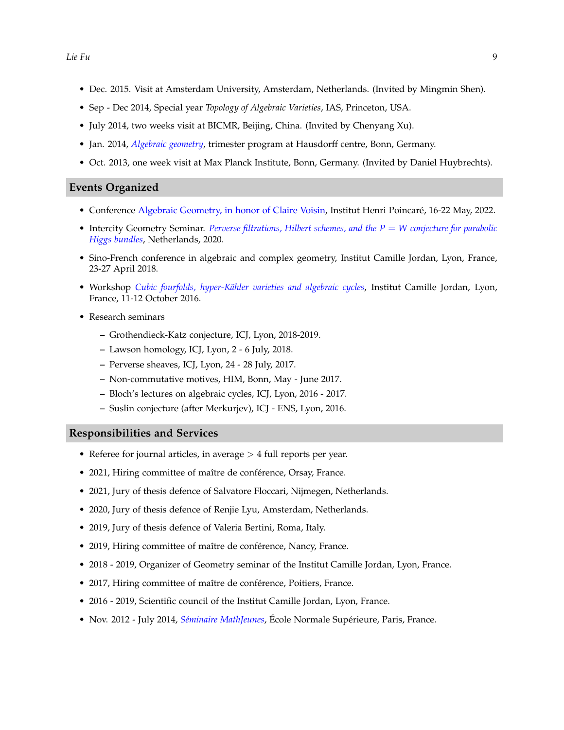- Dec. 2015. Visit at Amsterdam University, Amsterdam, Netherlands. (Invited by Mingmin Shen).
- Sep Dec 2014, Special year *Topology of Algebraic Varieties*, IAS, Princeton, USA.
- July 2014, two weeks visit at BICMR, Beijing, China. (Invited by Chenyang Xu).
- Jan. 2014, *[Algebraic geometry](http://www.him.uni-bonn.de/programs/current-trimester-program/jhtpalgebraic-geometry/description/)*, trimester program at Hausdorff centre, Bonn, Germany.
- Oct. 2013, one week visit at Max Planck Institute, Bonn, Germany. (Invited by Daniel Huybrechts).

#### **Events Organized**

- Conference [Algebraic Geometry, in honor of Claire Voisin,](https://sites.google.com/view/enlhonneurdeclairevoisin/home) Institut Henri Poincaré, 16-22 May, 2022.
- $\bullet$  Intercity Geometry Seminar. *[Perverse filtrations, Hilbert schemes, and the P](http://sauvaget.perso.math.cnrs.fr/ICG.html) = W conjecture for parabolic [Higgs bundles](http://sauvaget.perso.math.cnrs.fr/ICG.html)*, Netherlands, 2020.
- Sino-French conference in algebraic and complex geometry, Institut Camille Jordan, Lyon, France, 23-27 April 2018.
- Workshop *[Cubic fourfolds, hyper-Kähler varieties and algebraic cycles](http://math.univ-lyon1.fr/~fu/Activities/workshop_cubics_2016.html)*, Institut Camille Jordan, Lyon, France, 11-12 October 2016.
- Research seminars
	- **–** Grothendieck-Katz conjecture, ICJ, Lyon, 2018-2019.
	- **–** Lawson homology, ICJ, Lyon, 2 6 July, 2018.
	- **–** Perverse sheaves, ICJ, Lyon, 24 28 July, 2017.
	- **–** Non-commutative motives, HIM, Bonn, May June 2017.
	- **–** Bloch's lectures on algebraic cycles, ICJ, Lyon, 2016 2017.
	- **–** Suslin conjecture (after Merkurjev), ICJ ENS, Lyon, 2016.

#### **Responsibilities and Services**

- Referee for journal articles, in average  $> 4$  full reports per year.
- 2021, Hiring committee of maître de conférence, Orsay, France.
- 2021, Jury of thesis defence of Salvatore Floccari, Nijmegen, Netherlands.
- 2020, Jury of thesis defence of Renjie Lyu, Amsterdam, Netherlands.
- 2019, Jury of thesis defence of Valeria Bertini, Roma, Italy.
- 2019, Hiring committee of maître de conférence, Nancy, France.
- 2018 2019, Organizer of Geometry seminar of the Institut Camille Jordan, Lyon, France.
- 2017, Hiring committee of maître de conférence, Poitiers, France.
- 2016 2019, Scientific council of the Institut Camille Jordan, Lyon, France.
- Nov. 2012 July 2014, *[Séminaire MathJeunes](http://www.math.u-psud.fr/~gao/SM/SeminaireMathJeunes.html)*, École Normale Supérieure, Paris, France.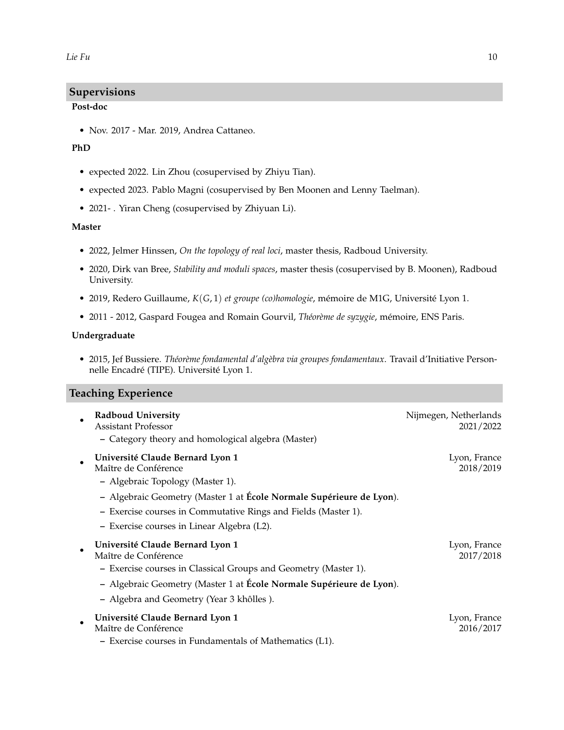# **Supervisions**

#### **Post-doc**

• Nov. 2017 - Mar. 2019, Andrea Cattaneo.

# **PhD**

- expected 2022. Lin Zhou (cosupervised by Zhiyu Tian).
- expected 2023. Pablo Magni (cosupervised by Ben Moonen and Lenny Taelman).
- 2021- . Yiran Cheng (cosupervised by Zhiyuan Li).

#### **Master**

- 2022, Jelmer Hinssen, *On the topology of real loci*, master thesis, Radboud University.
- 2020, Dirk van Bree, *Stability and moduli spaces*, master thesis (cosupervised by B. Moonen), Radboud University.
- 2019, Redero Guillaume, *K*(*G*, 1) *et groupe (co)homologie*, mémoire de M1G, Université Lyon 1.
- 2011 2012, Gaspard Fougea and Romain Gourvil, *Théorème de syzygie*, mémoire, ENS Paris.

#### **Undergraduate**

• 2015, Jef Bussiere. *Théorème fondamental d'algèbra via groupes fondamentaux*. Travail d'Initiative Personnelle Encadré (TIPE). Université Lyon 1.

### **Teaching Experience**

| <b>Radboud University</b><br><b>Assistant Professor</b><br>- Category theory and homological algebra (Master) | Nijmegen, Netherlands<br>2021/2022 |
|---------------------------------------------------------------------------------------------------------------|------------------------------------|
| Université Claude Bernard Lyon 1<br>Maître de Conférence<br>- Algebraic Topology (Master 1).                  | Lyon, France<br>2018/2019          |
| - Algebraic Geometry (Master 1 at École Normale Supérieure de Lyon).                                          |                                    |
| - Exercise courses in Commutative Rings and Fields (Master 1).                                                |                                    |
| - Exercise courses in Linear Algebra (L2).                                                                    |                                    |
| Université Claude Bernard Lyon 1<br>Maître de Conférence                                                      | Lyon, France<br>2017/2018          |
| - Exercise courses in Classical Groups and Geometry (Master 1).                                               |                                    |
| - Algebraic Geometry (Master 1 at École Normale Supérieure de Lyon).                                          |                                    |
| - Algebra and Geometry (Year 3 khôlles).                                                                      |                                    |
| Université Claude Bernard Lyon 1<br>Maître de Conférence                                                      | Lyon, France<br>2016/2017          |
| - Exercise courses in Fundamentals of Mathematics (L1).                                                       |                                    |